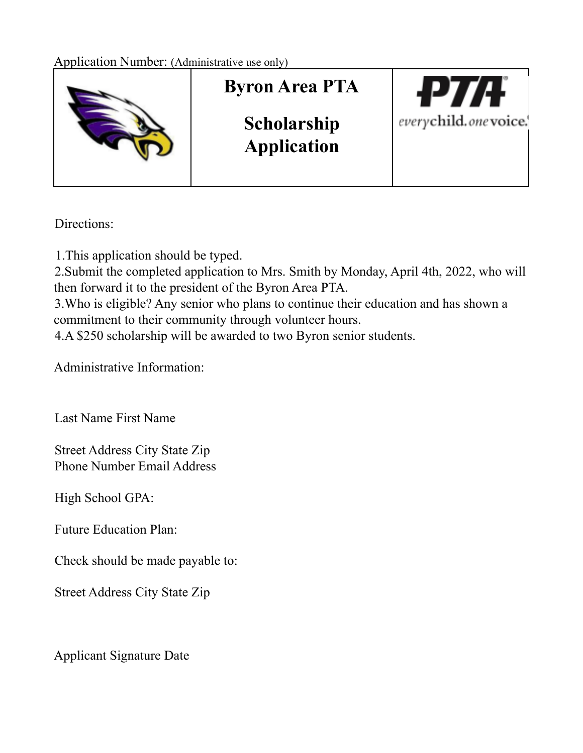

Directions:

1.This application should be typed.

2.Submit the completed application to Mrs. Smith by Monday, April 4th, 2022, who will then forward it to the president of the Byron Area PTA.

3.Who is eligible? Any senior who plans to continue their education and has shown a commitment to their community through volunteer hours.

4.A \$250 scholarship will be awarded to two Byron senior students.

Administrative Information:

Last Name First Name

Street Address City State Zip Phone Number Email Address

High School GPA:

Future Education Plan:

Check should be made payable to:

Street Address City State Zip

Applicant Signature Date